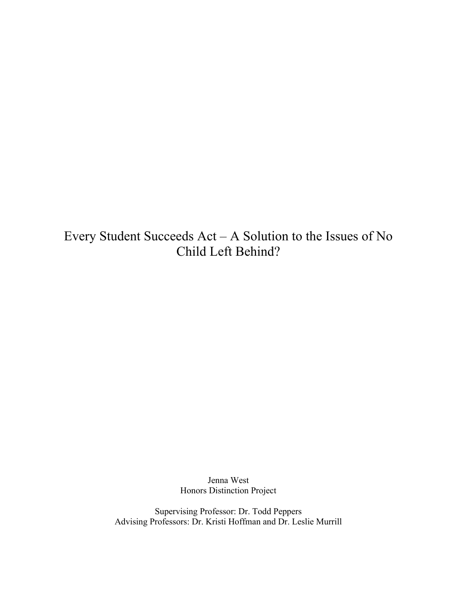Every Student Succeeds Act – A Solution to the Issues of No Child Left Behind?

> Jenna West Honors Distinction Project

Supervising Professor: Dr. Todd Peppers Advising Professors: Dr. Kristi Hoffman and Dr. Leslie Murrill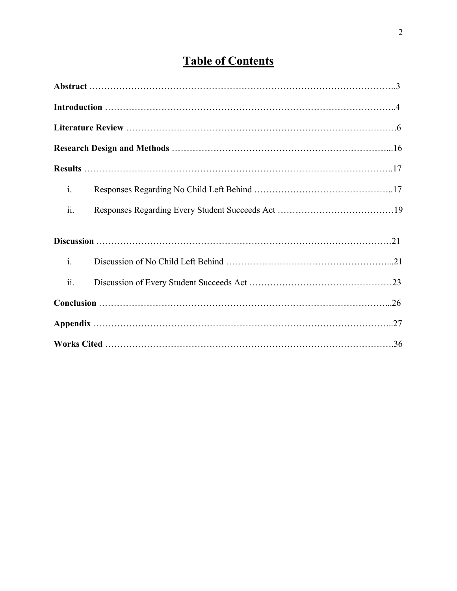# **Table of Contents**

| $\mathbf{i}$ . |  |  |  |  |
|----------------|--|--|--|--|
| ii.            |  |  |  |  |
|                |  |  |  |  |
| $\mathbf{i}$ . |  |  |  |  |
| ii.            |  |  |  |  |
|                |  |  |  |  |
|                |  |  |  |  |
|                |  |  |  |  |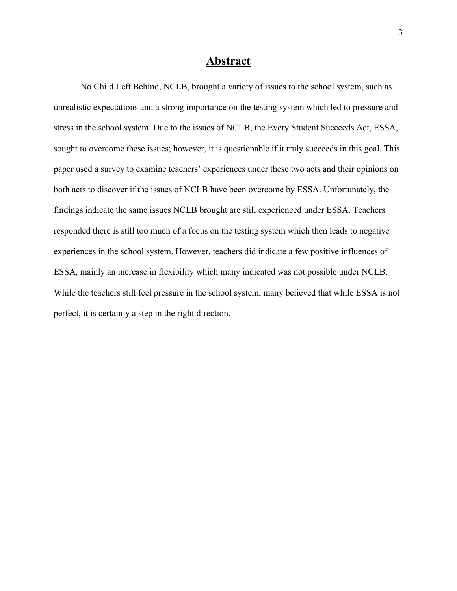## **Abstract**

No Child Left Behind, NCLB, brought a variety of issues to the school system, such as unrealistic expectations and a strong importance on the testing system which led to pressure and stress in the school system. Due to the issues of NCLB, the Every Student Succeeds Act, ESSA, sought to overcome these issues; however, it is questionable if it truly succeeds in this goal. This paper used a survey to examine teachers' experiences under these two acts and their opinions on both acts to discover if the issues of NCLB have been overcome by ESSA. Unfortunately, the findings indicate the same issues NCLB brought are still experienced under ESSA. Teachers responded there is still too much of a focus on the testing system which then leads to negative experiences in the school system. However, teachers did indicate a few positive influences of ESSA, mainly an increase in flexibility which many indicated was not possible under NCLB. While the teachers still feel pressure in the school system, many believed that while ESSA is not perfect, it is certainly a step in the right direction.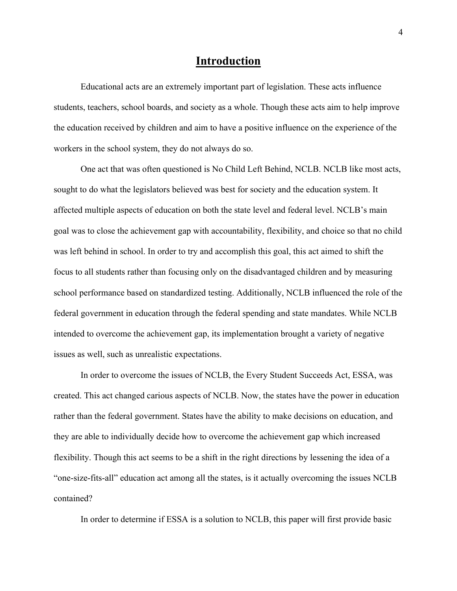## **Introduction**

Educational acts are an extremely important part of legislation. These acts influence students, teachers, school boards, and society as a whole. Though these acts aim to help improve the education received by children and aim to have a positive influence on the experience of the workers in the school system, they do not always do so.

One act that was often questioned is No Child Left Behind, NCLB. NCLB like most acts, sought to do what the legislators believed was best for society and the education system. It affected multiple aspects of education on both the state level and federal level. NCLB's main goal was to close the achievement gap with accountability, flexibility, and choice so that no child was left behind in school. In order to try and accomplish this goal, this act aimed to shift the focus to all students rather than focusing only on the disadvantaged children and by measuring school performance based on standardized testing. Additionally, NCLB influenced the role of the federal government in education through the federal spending and state mandates. While NCLB intended to overcome the achievement gap, its implementation brought a variety of negative issues as well, such as unrealistic expectations.

In order to overcome the issues of NCLB, the Every Student Succeeds Act, ESSA, was created. This act changed carious aspects of NCLB. Now, the states have the power in education rather than the federal government. States have the ability to make decisions on education, and they are able to individually decide how to overcome the achievement gap which increased flexibility. Though this act seems to be a shift in the right directions by lessening the idea of a "one-size-fits-all" education act among all the states, is it actually overcoming the issues NCLB contained?

In order to determine if ESSA is a solution to NCLB, this paper will first provide basic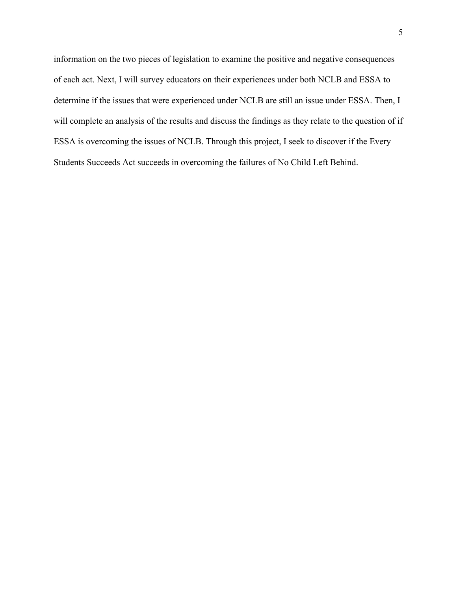information on the two pieces of legislation to examine the positive and negative consequences of each act. Next, I will survey educators on their experiences under both NCLB and ESSA to determine if the issues that were experienced under NCLB are still an issue under ESSA. Then, I will complete an analysis of the results and discuss the findings as they relate to the question of if ESSA is overcoming the issues of NCLB. Through this project, I seek to discover if the Every Students Succeeds Act succeeds in overcoming the failures of No Child Left Behind.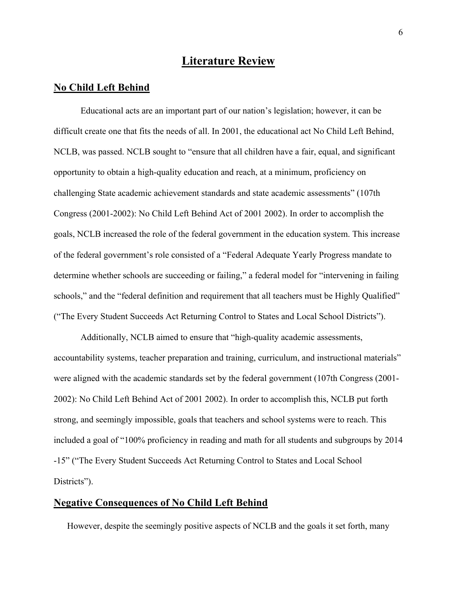# **Literature Review**

## **No Child Left Behind**

Educational acts are an important part of our nation's legislation; however, it can be difficult create one that fits the needs of all. In 2001, the educational act No Child Left Behind, NCLB, was passed. NCLB sought to "ensure that all children have a fair, equal, and significant opportunity to obtain a high-quality education and reach, at a minimum, proficiency on challenging State academic achievement standards and state academic assessments" (107th Congress (2001-2002): No Child Left Behind Act of 2001 2002). In order to accomplish the goals, NCLB increased the role of the federal government in the education system. This increase of the federal government's role consisted of a "Federal Adequate Yearly Progress mandate to determine whether schools are succeeding or failing," a federal model for "intervening in failing schools," and the "federal definition and requirement that all teachers must be Highly Qualified" ("The Every Student Succeeds Act Returning Control to States and Local School Districts").

Additionally, NCLB aimed to ensure that "high-quality academic assessments, accountability systems, teacher preparation and training, curriculum, and instructional materials" were aligned with the academic standards set by the federal government (107th Congress (2001- 2002): No Child Left Behind Act of 2001 2002). In order to accomplish this, NCLB put forth strong, and seemingly impossible, goals that teachers and school systems were to reach. This included a goal of "100% proficiency in reading and math for all students and subgroups by 2014 -15" ("The Every Student Succeeds Act Returning Control to States and Local School Districts").

## **Negative Consequences of No Child Left Behind**

However, despite the seemingly positive aspects of NCLB and the goals it set forth, many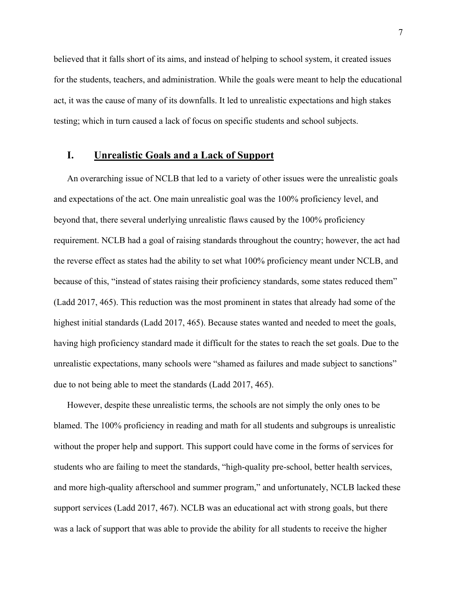believed that it falls short of its aims, and instead of helping to school system, it created issues for the students, teachers, and administration. While the goals were meant to help the educational act, it was the cause of many of its downfalls. It led to unrealistic expectations and high stakes testing; which in turn caused a lack of focus on specific students and school subjects.

#### **I. Unrealistic Goals and a Lack of Support**

An overarching issue of NCLB that led to a variety of other issues were the unrealistic goals and expectations of the act. One main unrealistic goal was the 100% proficiency level, and beyond that, there several underlying unrealistic flaws caused by the 100% proficiency requirement. NCLB had a goal of raising standards throughout the country; however, the act had the reverse effect as states had the ability to set what 100% proficiency meant under NCLB, and because of this, "instead of states raising their proficiency standards, some states reduced them" (Ladd 2017, 465). This reduction was the most prominent in states that already had some of the highest initial standards (Ladd 2017, 465). Because states wanted and needed to meet the goals, having high proficiency standard made it difficult for the states to reach the set goals. Due to the unrealistic expectations, many schools were "shamed as failures and made subject to sanctions" due to not being able to meet the standards (Ladd 2017, 465).

However, despite these unrealistic terms, the schools are not simply the only ones to be blamed. The 100% proficiency in reading and math for all students and subgroups is unrealistic without the proper help and support. This support could have come in the forms of services for students who are failing to meet the standards, "high‐quality pre‐school, better health services, and more high-quality afterschool and summer program," and unfortunately, NCLB lacked these support services (Ladd 2017, 467). NCLB was an educational act with strong goals, but there was a lack of support that was able to provide the ability for all students to receive the higher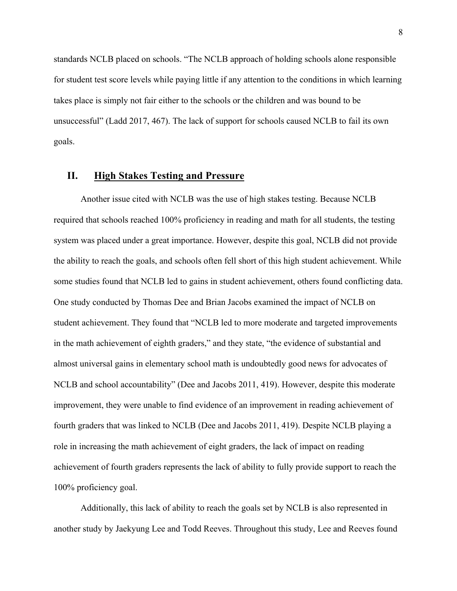standards NCLB placed on schools. "The NCLB approach of holding schools alone responsible for student test score levels while paying little if any attention to the conditions in which learning takes place is simply not fair either to the schools or the children and was bound to be unsuccessful" (Ladd 2017, 467). The lack of support for schools caused NCLB to fail its own goals.

#### **II. High Stakes Testing and Pressure**

Another issue cited with NCLB was the use of high stakes testing. Because NCLB required that schools reached 100% proficiency in reading and math for all students, the testing system was placed under a great importance. However, despite this goal, NCLB did not provide the ability to reach the goals, and schools often fell short of this high student achievement. While some studies found that NCLB led to gains in student achievement, others found conflicting data. One study conducted by Thomas Dee and Brian Jacobs examined the impact of NCLB on student achievement. They found that "NCLB led to more moderate and targeted improvements in the math achievement of eighth graders," and they state, "the evidence of substantial and almost universal gains in elementary school math is undoubtedly good news for advocates of NCLB and school accountability" (Dee and Jacobs 2011, 419). However, despite this moderate improvement, they were unable to find evidence of an improvement in reading achievement of fourth graders that was linked to NCLB (Dee and Jacobs 2011, 419). Despite NCLB playing a role in increasing the math achievement of eight graders, the lack of impact on reading achievement of fourth graders represents the lack of ability to fully provide support to reach the 100% proficiency goal.

Additionally, this lack of ability to reach the goals set by NCLB is also represented in another study by Jaekyung Lee and Todd Reeves. Throughout this study, Lee and Reeves found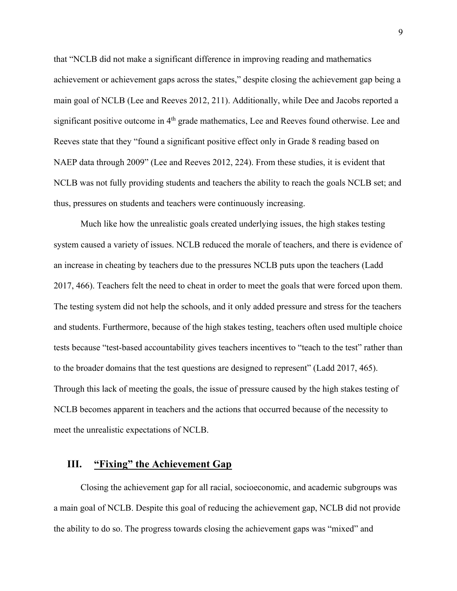that "NCLB did not make a significant difference in improving reading and mathematics achievement or achievement gaps across the states," despite closing the achievement gap being a main goal of NCLB (Lee and Reeves 2012, 211). Additionally, while Dee and Jacobs reported a significant positive outcome in 4<sup>th</sup> grade mathematics, Lee and Reeves found otherwise. Lee and Reeves state that they "found a significant positive effect only in Grade 8 reading based on NAEP data through 2009" (Lee and Reeves 2012, 224). From these studies, it is evident that NCLB was not fully providing students and teachers the ability to reach the goals NCLB set; and thus, pressures on students and teachers were continuously increasing.

Much like how the unrealistic goals created underlying issues, the high stakes testing system caused a variety of issues. NCLB reduced the morale of teachers, and there is evidence of an increase in cheating by teachers due to the pressures NCLB puts upon the teachers (Ladd 2017, 466). Teachers felt the need to cheat in order to meet the goals that were forced upon them. The testing system did not help the schools, and it only added pressure and stress for the teachers and students. Furthermore, because of the high stakes testing, teachers often used multiple choice tests because "test-based accountability gives teachers incentives to "teach to the test" rather than to the broader domains that the test questions are designed to represent" (Ladd 2017, 465). Through this lack of meeting the goals, the issue of pressure caused by the high stakes testing of NCLB becomes apparent in teachers and the actions that occurred because of the necessity to meet the unrealistic expectations of NCLB.

# **III. "Fixing" the Achievement Gap**

Closing the achievement gap for all racial, socioeconomic, and academic subgroups was a main goal of NCLB. Despite this goal of reducing the achievement gap, NCLB did not provide the ability to do so. The progress towards closing the achievement gaps was "mixed" and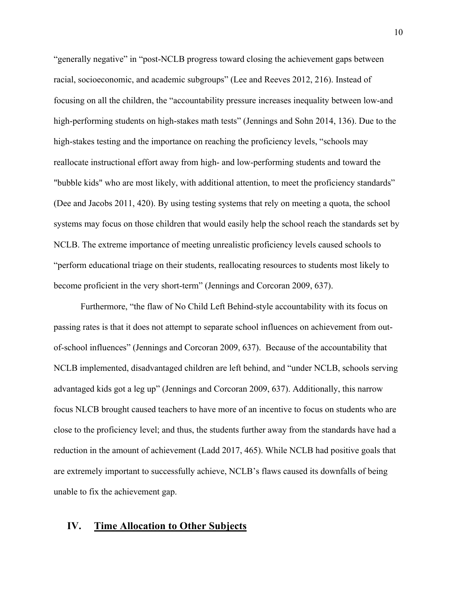"generally negative" in "post-NCLB progress toward closing the achievement gaps between racial, socioeconomic, and academic subgroups" (Lee and Reeves 2012, 216). Instead of focusing on all the children, the "accountability pressure increases inequality between low-and high-performing students on high-stakes math tests" (Jennings and Sohn 2014, 136). Due to the high-stakes testing and the importance on reaching the proficiency levels, "schools may reallocate instructional effort away from high- and low-performing students and toward the "bubble kids" who are most likely, with additional attention, to meet the proficiency standards" (Dee and Jacobs 2011, 420). By using testing systems that rely on meeting a quota, the school systems may focus on those children that would easily help the school reach the standards set by NCLB. The extreme importance of meeting unrealistic proficiency levels caused schools to "perform educational triage on their students, reallocating resources to students most likely to become proficient in the very short-term" (Jennings and Corcoran 2009, 637).

Furthermore, "the flaw of No Child Left Behind-style accountability with its focus on passing rates is that it does not attempt to separate school influences on achievement from outof-school influences" (Jennings and Corcoran 2009, 637). Because of the accountability that NCLB implemented, disadvantaged children are left behind, and "under NCLB, schools serving advantaged kids got a leg up" (Jennings and Corcoran 2009, 637). Additionally, this narrow focus NLCB brought caused teachers to have more of an incentive to focus on students who are close to the proficiency level; and thus, the students further away from the standards have had a reduction in the amount of achievement (Ladd 2017, 465). While NCLB had positive goals that are extremely important to successfully achieve, NCLB's flaws caused its downfalls of being unable to fix the achievement gap.

## **IV. Time Allocation to Other Subjects**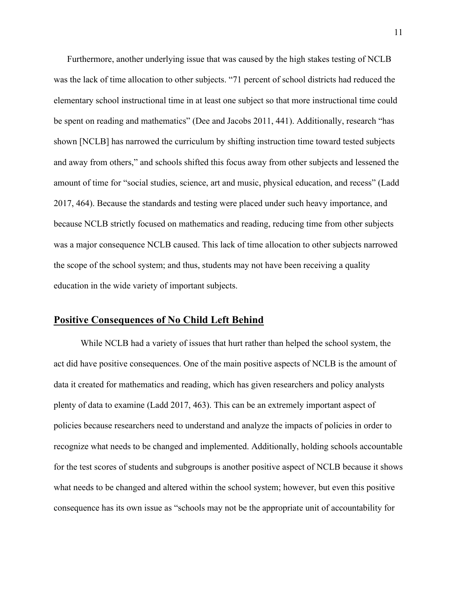Furthermore, another underlying issue that was caused by the high stakes testing of NCLB was the lack of time allocation to other subjects. "71 percent of school districts had reduced the elementary school instructional time in at least one subject so that more instructional time could be spent on reading and mathematics" (Dee and Jacobs 2011, 441). Additionally, research "has shown [NCLB] has narrowed the curriculum by shifting instruction time toward tested subjects and away from others," and schools shifted this focus away from other subjects and lessened the amount of time for "social studies, science, art and music, physical education, and recess" (Ladd 2017, 464). Because the standards and testing were placed under such heavy importance, and because NCLB strictly focused on mathematics and reading, reducing time from other subjects was a major consequence NCLB caused. This lack of time allocation to other subjects narrowed the scope of the school system; and thus, students may not have been receiving a quality education in the wide variety of important subjects.

## **Positive Consequences of No Child Left Behind**

While NCLB had a variety of issues that hurt rather than helped the school system, the act did have positive consequences. One of the main positive aspects of NCLB is the amount of data it created for mathematics and reading, which has given researchers and policy analysts plenty of data to examine (Ladd 2017, 463). This can be an extremely important aspect of policies because researchers need to understand and analyze the impacts of policies in order to recognize what needs to be changed and implemented. Additionally, holding schools accountable for the test scores of students and subgroups is another positive aspect of NCLB because it shows what needs to be changed and altered within the school system; however, but even this positive consequence has its own issue as "schools may not be the appropriate unit of accountability for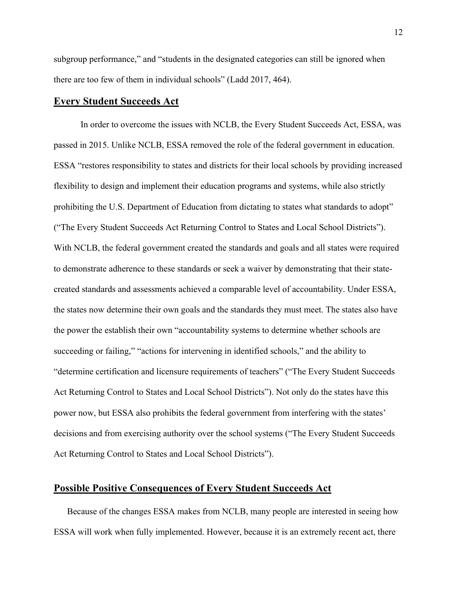subgroup performance," and "students in the designated categories can still be ignored when there are too few of them in individual schools" (Ladd 2017, 464).

#### **Every Student Succeeds Act**

In order to overcome the issues with NCLB, the Every Student Succeeds Act, ESSA, was passed in 2015. Unlike NCLB, ESSA removed the role of the federal government in education. ESSA "restores responsibility to states and districts for their local schools by providing increased flexibility to design and implement their education programs and systems, while also strictly prohibiting the U.S. Department of Education from dictating to states what standards to adopt" ("The Every Student Succeeds Act Returning Control to States and Local School Districts"). With NCLB, the federal government created the standards and goals and all states were required to demonstrate adherence to these standards or seek a waiver by demonstrating that their statecreated standards and assessments achieved a comparable level of accountability. Under ESSA, the states now determine their own goals and the standards they must meet. The states also have the power the establish their own "accountability systems to determine whether schools are succeeding or failing," "actions for intervening in identified schools," and the ability to "determine certification and licensure requirements of teachers" ("The Every Student Succeeds Act Returning Control to States and Local School Districts"). Not only do the states have this power now, but ESSA also prohibits the federal government from interfering with the states' decisions and from exercising authority over the school systems ("The Every Student Succeeds Act Returning Control to States and Local School Districts").

#### **Possible Positive Consequences of Every Student Succeeds Act**

Because of the changes ESSA makes from NCLB, many people are interested in seeing how ESSA will work when fully implemented. However, because it is an extremely recent act, there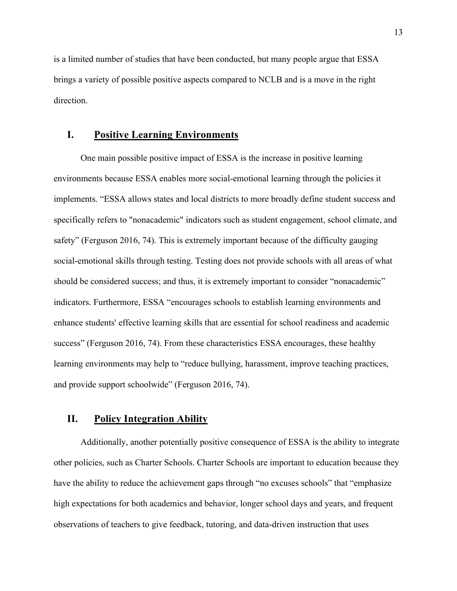is a limited number of studies that have been conducted, but many people argue that ESSA brings a variety of possible positive aspects compared to NCLB and is a move in the right direction.

## **I. Positive Learning Environments**

One main possible positive impact of ESSA is the increase in positive learning environments because ESSA enables more social-emotional learning through the policies it implements. "ESSA allows states and local districts to more broadly define student success and specifically refers to "nonacademic" indicators such as student engagement, school climate, and safety" (Ferguson 2016, 74). This is extremely important because of the difficulty gauging social-emotional skills through testing. Testing does not provide schools with all areas of what should be considered success; and thus, it is extremely important to consider "nonacademic" indicators. Furthermore, ESSA "encourages schools to establish learning environments and enhance students' effective learning skills that are essential for school readiness and academic success" (Ferguson 2016, 74). From these characteristics ESSA encourages, these healthy learning environments may help to "reduce bullying, harassment, improve teaching practices, and provide support schoolwide" (Ferguson 2016, 74).

## **II. Policy Integration Ability**

Additionally, another potentially positive consequence of ESSA is the ability to integrate other policies, such as Charter Schools. Charter Schools are important to education because they have the ability to reduce the achievement gaps through "no excuses schools" that "emphasize high expectations for both academics and behavior, longer school days and years, and frequent observations of teachers to give feedback, tutoring, and data-driven instruction that uses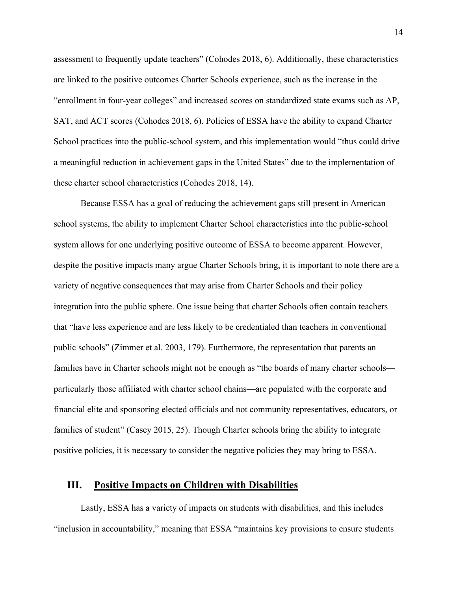assessment to frequently update teachers" (Cohodes 2018, 6). Additionally, these characteristics are linked to the positive outcomes Charter Schools experience, such as the increase in the "enrollment in four-year colleges" and increased scores on standardized state exams such as AP, SAT, and ACT scores (Cohodes 2018, 6). Policies of ESSA have the ability to expand Charter School practices into the public-school system, and this implementation would "thus could drive a meaningful reduction in achievement gaps in the United States" due to the implementation of these charter school characteristics (Cohodes 2018, 14).

Because ESSA has a goal of reducing the achievement gaps still present in American school systems, the ability to implement Charter School characteristics into the public-school system allows for one underlying positive outcome of ESSA to become apparent. However, despite the positive impacts many argue Charter Schools bring, it is important to note there are a variety of negative consequences that may arise from Charter Schools and their policy integration into the public sphere. One issue being that charter Schools often contain teachers that "have less experience and are less likely to be credentialed than teachers in conventional public schools" (Zimmer et al. 2003, 179). Furthermore, the representation that parents an families have in Charter schools might not be enough as "the boards of many charter schools particularly those affiliated with charter school chains—are populated with the corporate and financial elite and sponsoring elected officials and not community representatives, educators, or families of student" (Casey 2015, 25). Though Charter schools bring the ability to integrate positive policies, it is necessary to consider the negative policies they may bring to ESSA.

## **III. Positive Impacts on Children with Disabilities**

Lastly, ESSA has a variety of impacts on students with disabilities, and this includes "inclusion in accountability," meaning that ESSA "maintains key provisions to ensure students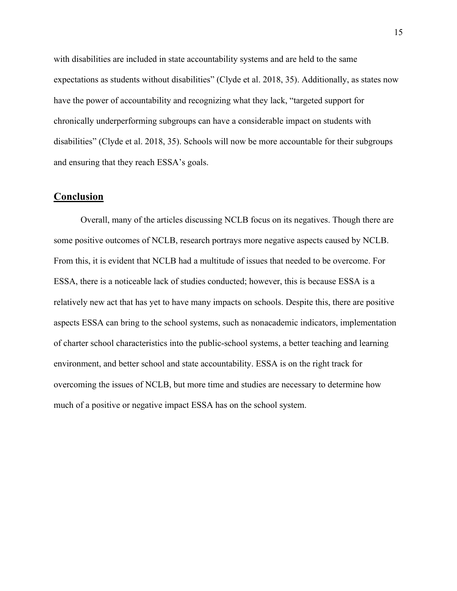with disabilities are included in state accountability systems and are held to the same expectations as students without disabilities" (Clyde et al. 2018, 35). Additionally, as states now have the power of accountability and recognizing what they lack, "targeted support for chronically underperforming subgroups can have a considerable impact on students with disabilities" (Clyde et al. 2018, 35). Schools will now be more accountable for their subgroups and ensuring that they reach ESSA's goals.

#### **Conclusion**

Overall, many of the articles discussing NCLB focus on its negatives. Though there are some positive outcomes of NCLB, research portrays more negative aspects caused by NCLB. From this, it is evident that NCLB had a multitude of issues that needed to be overcome. For ESSA, there is a noticeable lack of studies conducted; however, this is because ESSA is a relatively new act that has yet to have many impacts on schools. Despite this, there are positive aspects ESSA can bring to the school systems, such as nonacademic indicators, implementation of charter school characteristics into the public-school systems, a better teaching and learning environment, and better school and state accountability. ESSA is on the right track for overcoming the issues of NCLB, but more time and studies are necessary to determine how much of a positive or negative impact ESSA has on the school system.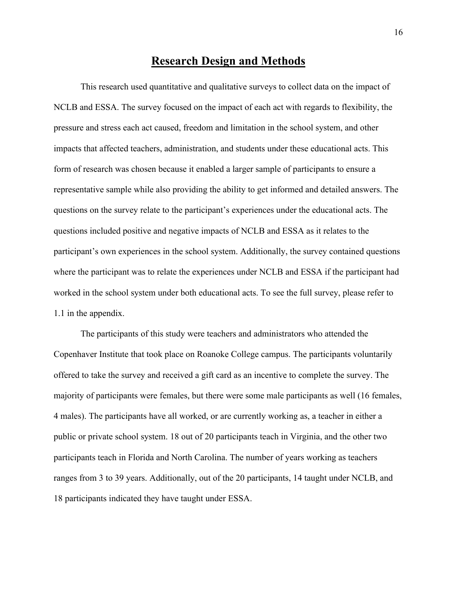# **Research Design and Methods**

This research used quantitative and qualitative surveys to collect data on the impact of NCLB and ESSA. The survey focused on the impact of each act with regards to flexibility, the pressure and stress each act caused, freedom and limitation in the school system, and other impacts that affected teachers, administration, and students under these educational acts. This form of research was chosen because it enabled a larger sample of participants to ensure a representative sample while also providing the ability to get informed and detailed answers. The questions on the survey relate to the participant's experiences under the educational acts. The questions included positive and negative impacts of NCLB and ESSA as it relates to the participant's own experiences in the school system. Additionally, the survey contained questions where the participant was to relate the experiences under NCLB and ESSA if the participant had worked in the school system under both educational acts. To see the full survey, please refer to 1.1 in the appendix.

The participants of this study were teachers and administrators who attended the Copenhaver Institute that took place on Roanoke College campus. The participants voluntarily offered to take the survey and received a gift card as an incentive to complete the survey. The majority of participants were females, but there were some male participants as well (16 females, 4 males). The participants have all worked, or are currently working as, a teacher in either a public or private school system. 18 out of 20 participants teach in Virginia, and the other two participants teach in Florida and North Carolina. The number of years working as teachers ranges from 3 to 39 years. Additionally, out of the 20 participants, 14 taught under NCLB, and 18 participants indicated they have taught under ESSA.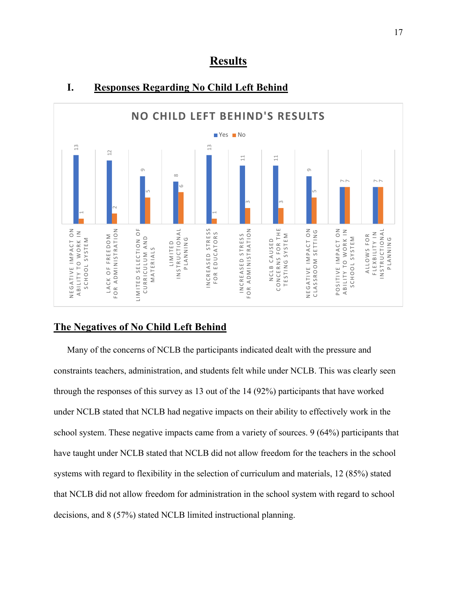



## **I. Responses Regarding No Child Left Behind**

## **The Negatives of No Child Left Behind**

Many of the concerns of NCLB the participants indicated dealt with the pressure and constraints teachers, administration, and students felt while under NCLB. This was clearly seen through the responses of this survey as 13 out of the 14 (92%) participants that have worked under NCLB stated that NCLB had negative impacts on their ability to effectively work in the school system. These negative impacts came from a variety of sources. 9 (64%) participants that have taught under NCLB stated that NCLB did not allow freedom for the teachers in the school systems with regard to flexibility in the selection of curriculum and materials, 12 (85%) stated that NCLB did not allow freedom for administration in the school system with regard to school decisions, and 8 (57%) stated that NCLB did not allow freedom for administration in the school system, and 8 (57%) stated NCLB limited instructional planning.<br>
decisions, and 8 (57%) stated NCLB limited instructional plan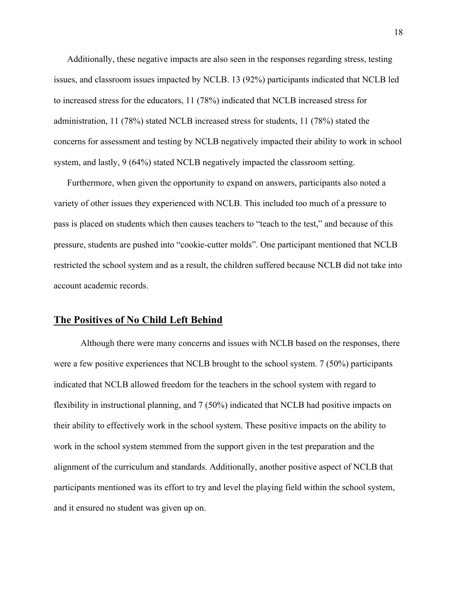Additionally, these negative impacts are also seen in the responses regarding stress, testing issues, and classroom issues impacted by NCLB. 13 (92%) participants indicated that NCLB led to increased stress for the educators, 11 (78%) indicated that NCLB increased stress for administration, 11 (78%) stated NCLB increased stress for students, 11 (78%) stated the concerns for assessment and testing by NCLB negatively impacted their ability to work in school system, and lastly, 9 (64%) stated NCLB negatively impacted the classroom setting.

Furthermore, when given the opportunity to expand on answers, participants also noted a variety of other issues they experienced with NCLB. This included too much of a pressure to pass is placed on students which then causes teachers to "teach to the test," and because of this pressure, students are pushed into "cookie-cutter molds". One participant mentioned that NCLB restricted the school system and as a result, the children suffered because NCLB did not take into account academic records.

#### **The Positives of No Child Left Behind**

Although there were many concerns and issues with NCLB based on the responses, there were a few positive experiences that NCLB brought to the school system. 7 (50%) participants indicated that NCLB allowed freedom for the teachers in the school system with regard to flexibility in instructional planning, and 7 (50%) indicated that NCLB had positive impacts on their ability to effectively work in the school system. These positive impacts on the ability to work in the school system stemmed from the support given in the test preparation and the alignment of the curriculum and standards. Additionally, another positive aspect of NCLB that participants mentioned was its effort to try and level the playing field within the school system, and it ensured no student was given up on.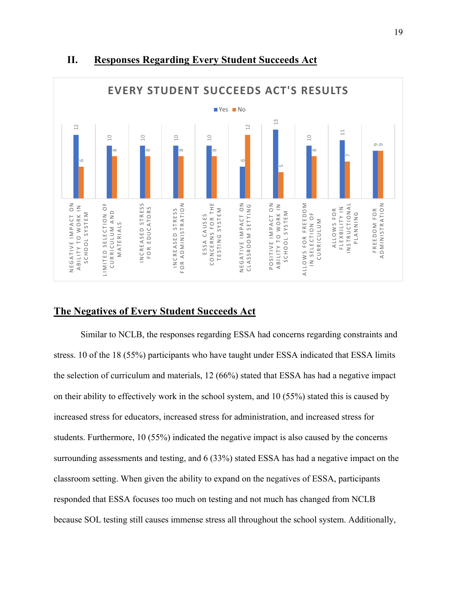

## **II. Responses Regarding Every Student Succeeds Act**

## **The Negatives of Every Student Succeeds Act**

Similar to NCLB, the responses regarding ESSA had concerns regarding constraints and stress. 10 of the 18 (55%) participants who have taught under ESSA indicated that ESSA limits the selection of curriculum and materials, 12 (66%) stated that ESSA has had a negative impact on their ability to effectively work in the school system, and 10 (55%) stated this is caused by increased stress for educators, increased stress for administration, and increased stress for students. Furthermore, 10 (55%) indicated the negative impact is also caused by the concerns surrounding assessments and testing, and 6 (33%) stated ESSA has had a negative impact on the classroom setting. When given the ability to expand on the negatives of ESSA, participants responded that ESSA focuses too much on testing and not much has changed from NCLB **Example 1**<br> **Example 1**<br> **Example 1**<br> **Example 1**<br> **Example 1**<br> **Example 1**<br> **Example 1**<br> **Example 1**<br> **Example 1**<br> **Example 1**<br> **Example 1**<br> **Example 1**<br> **Example 1**<br> **Example 1**<br> **Example 1**<br> **Example 1**<br> **Example 1**<br>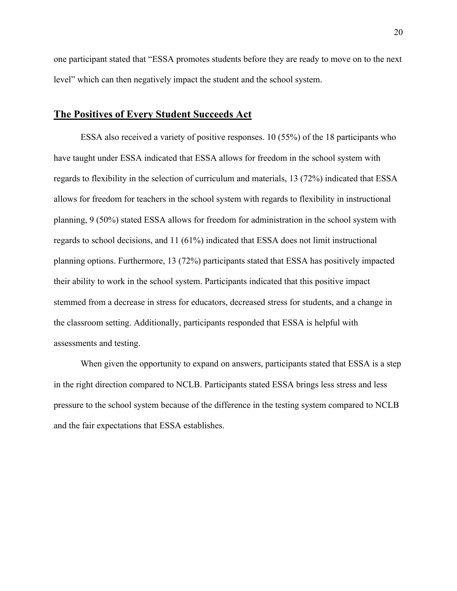one participant stated that "ESSA promotes students before they are ready to move on to the next level" which can then negatively impact the student and the school system.

#### **The Positives of Every Student Succeeds Act**

ESSA also received a variety of positive responses. 10 (55%) of the 18 participants who have taught under ESSA indicated that ESSA allows for freedom in the school system with regards to flexibility in the selection of curriculum and materials, 13 (72%) indicated that ESSA allows for freedom for teachers in the school system with regards to flexibility in instructional planning, 9 (50%) stated ESSA allows for freedom for administration in the school system with regards to school decisions, and 11 (61%) indicated that ESSA does not limit instructional planning options. Furthermore, 13 (72%) participants stated that ESSA has positively impacted their ability to work in the school system. Participants indicated that this positive impact stemmed from a decrease in stress for educators, decreased stress for students, and a change in the classroom setting. Additionally, participants responded that ESSA is helpful with assessments and testing.

When given the opportunity to expand on answers, participants stated that ESSA is a step in the right direction compared to NCLB. Participants stated ESSA brings less stress and less pressure to the school system because of the difference in the testing system compared to NCLB and the fair expectations that ESSA establishes.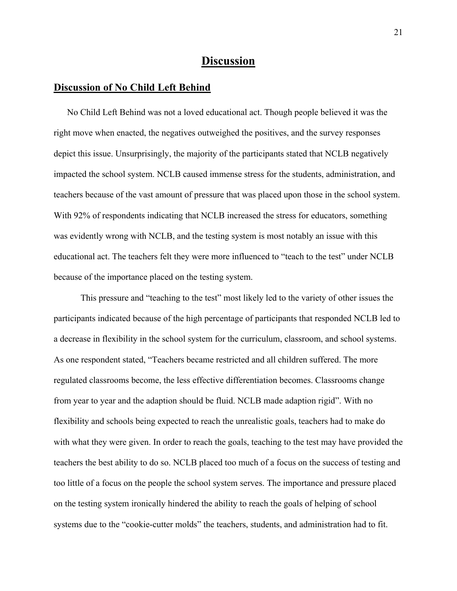# **Discussion**

#### **Discussion of No Child Left Behind**

No Child Left Behind was not a loved educational act. Though people believed it was the right move when enacted, the negatives outweighed the positives, and the survey responses depict this issue. Unsurprisingly, the majority of the participants stated that NCLB negatively impacted the school system. NCLB caused immense stress for the students, administration, and teachers because of the vast amount of pressure that was placed upon those in the school system. With 92% of respondents indicating that NCLB increased the stress for educators, something was evidently wrong with NCLB, and the testing system is most notably an issue with this educational act. The teachers felt they were more influenced to "teach to the test" under NCLB because of the importance placed on the testing system.

This pressure and "teaching to the test" most likely led to the variety of other issues the participants indicated because of the high percentage of participants that responded NCLB led to a decrease in flexibility in the school system for the curriculum, classroom, and school systems. As one respondent stated, "Teachers became restricted and all children suffered. The more regulated classrooms become, the less effective differentiation becomes. Classrooms change from year to year and the adaption should be fluid. NCLB made adaption rigid". With no flexibility and schools being expected to reach the unrealistic goals, teachers had to make do with what they were given. In order to reach the goals, teaching to the test may have provided the teachers the best ability to do so. NCLB placed too much of a focus on the success of testing and too little of a focus on the people the school system serves. The importance and pressure placed on the testing system ironically hindered the ability to reach the goals of helping of school systems due to the "cookie-cutter molds" the teachers, students, and administration had to fit.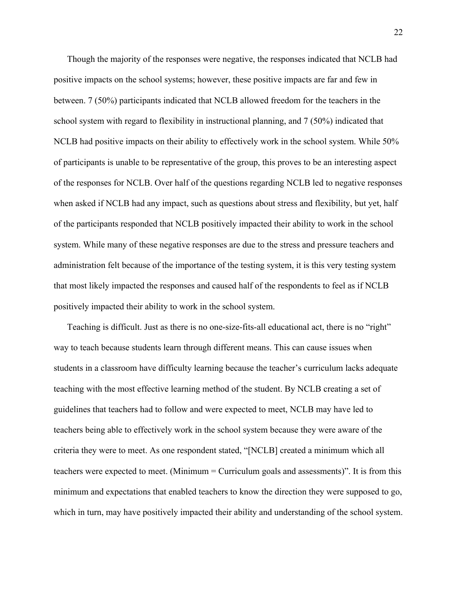Though the majority of the responses were negative, the responses indicated that NCLB had positive impacts on the school systems; however, these positive impacts are far and few in between. 7 (50%) participants indicated that NCLB allowed freedom for the teachers in the school system with regard to flexibility in instructional planning, and 7 (50%) indicated that NCLB had positive impacts on their ability to effectively work in the school system. While 50% of participants is unable to be representative of the group, this proves to be an interesting aspect of the responses for NCLB. Over half of the questions regarding NCLB led to negative responses when asked if NCLB had any impact, such as questions about stress and flexibility, but yet, half of the participants responded that NCLB positively impacted their ability to work in the school system. While many of these negative responses are due to the stress and pressure teachers and administration felt because of the importance of the testing system, it is this very testing system that most likely impacted the responses and caused half of the respondents to feel as if NCLB positively impacted their ability to work in the school system.

Teaching is difficult. Just as there is no one-size-fits-all educational act, there is no "right" way to teach because students learn through different means. This can cause issues when students in a classroom have difficulty learning because the teacher's curriculum lacks adequate teaching with the most effective learning method of the student. By NCLB creating a set of guidelines that teachers had to follow and were expected to meet, NCLB may have led to teachers being able to effectively work in the school system because they were aware of the criteria they were to meet. As one respondent stated, "[NCLB] created a minimum which all teachers were expected to meet. (Minimum = Curriculum goals and assessments)". It is from this minimum and expectations that enabled teachers to know the direction they were supposed to go, which in turn, may have positively impacted their ability and understanding of the school system.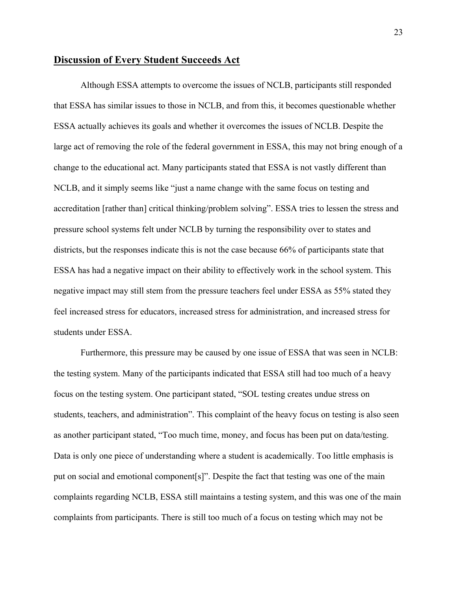#### **Discussion of Every Student Succeeds Act**

Although ESSA attempts to overcome the issues of NCLB, participants still responded that ESSA has similar issues to those in NCLB, and from this, it becomes questionable whether ESSA actually achieves its goals and whether it overcomes the issues of NCLB. Despite the large act of removing the role of the federal government in ESSA, this may not bring enough of a change to the educational act. Many participants stated that ESSA is not vastly different than NCLB, and it simply seems like "just a name change with the same focus on testing and accreditation [rather than] critical thinking/problem solving". ESSA tries to lessen the stress and pressure school systems felt under NCLB by turning the responsibility over to states and districts, but the responses indicate this is not the case because 66% of participants state that ESSA has had a negative impact on their ability to effectively work in the school system. This negative impact may still stem from the pressure teachers feel under ESSA as 55% stated they feel increased stress for educators, increased stress for administration, and increased stress for students under ESSA.

Furthermore, this pressure may be caused by one issue of ESSA that was seen in NCLB: the testing system. Many of the participants indicated that ESSA still had too much of a heavy focus on the testing system. One participant stated, "SOL testing creates undue stress on students, teachers, and administration". This complaint of the heavy focus on testing is also seen as another participant stated, "Too much time, money, and focus has been put on data/testing. Data is only one piece of understanding where a student is academically. Too little emphasis is put on social and emotional component[s]". Despite the fact that testing was one of the main complaints regarding NCLB, ESSA still maintains a testing system, and this was one of the main complaints from participants. There is still too much of a focus on testing which may not be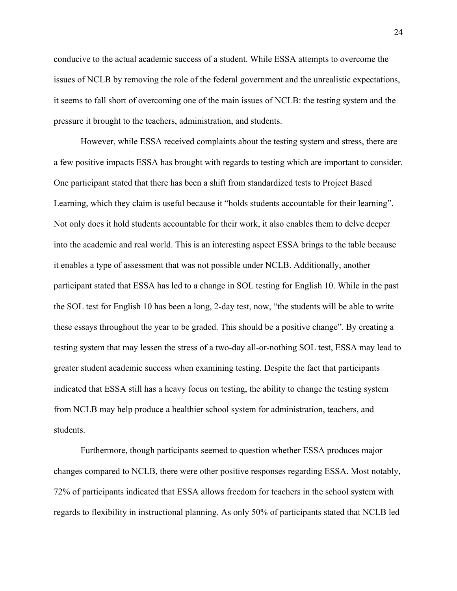conducive to the actual academic success of a student. While ESSA attempts to overcome the issues of NCLB by removing the role of the federal government and the unrealistic expectations, it seems to fall short of overcoming one of the main issues of NCLB: the testing system and the pressure it brought to the teachers, administration, and students.

However, while ESSA received complaints about the testing system and stress, there are a few positive impacts ESSA has brought with regards to testing which are important to consider. One participant stated that there has been a shift from standardized tests to Project Based Learning, which they claim is useful because it "holds students accountable for their learning". Not only does it hold students accountable for their work, it also enables them to delve deeper into the academic and real world. This is an interesting aspect ESSA brings to the table because it enables a type of assessment that was not possible under NCLB. Additionally, another participant stated that ESSA has led to a change in SOL testing for English 10. While in the past the SOL test for English 10 has been a long, 2-day test, now, "the students will be able to write these essays throughout the year to be graded. This should be a positive change". By creating a testing system that may lessen the stress of a two-day all-or-nothing SOL test, ESSA may lead to greater student academic success when examining testing. Despite the fact that participants indicated that ESSA still has a heavy focus on testing, the ability to change the testing system from NCLB may help produce a healthier school system for administration, teachers, and students.

Furthermore, though participants seemed to question whether ESSA produces major changes compared to NCLB, there were other positive responses regarding ESSA. Most notably, 72% of participants indicated that ESSA allows freedom for teachers in the school system with regards to flexibility in instructional planning. As only 50% of participants stated that NCLB led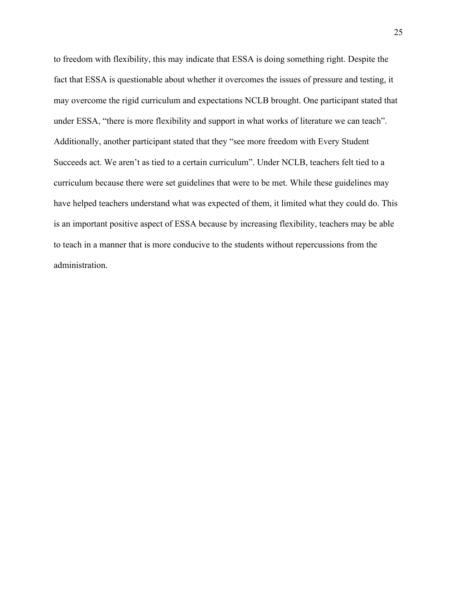to freedom with flexibility, this may indicate that ESSA is doing something right. Despite the fact that ESSA is questionable about whether it overcomes the issues of pressure and testing, it may overcome the rigid curriculum and expectations NCLB brought. One participant stated that under ESSA, "there is more flexibility and support in what works of literature we can teach". Additionally, another participant stated that they "see more freedom with Every Student Succeeds act. We aren't as tied to a certain curriculum". Under NCLB, teachers felt tied to a curriculum because there were set guidelines that were to be met. While these guidelines may have helped teachers understand what was expected of them, it limited what they could do. This is an important positive aspect of ESSA because by increasing flexibility, teachers may be able to teach in a manner that is more conducive to the students without repercussions from the administration.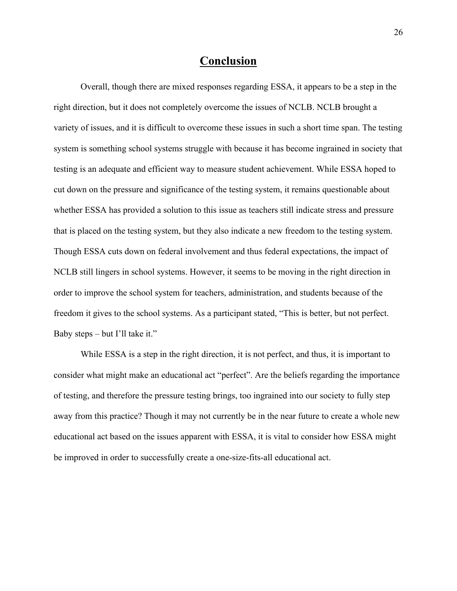## **Conclusion**

Overall, though there are mixed responses regarding ESSA, it appears to be a step in the right direction, but it does not completely overcome the issues of NCLB. NCLB brought a variety of issues, and it is difficult to overcome these issues in such a short time span. The testing system is something school systems struggle with because it has become ingrained in society that testing is an adequate and efficient way to measure student achievement. While ESSA hoped to cut down on the pressure and significance of the testing system, it remains questionable about whether ESSA has provided a solution to this issue as teachers still indicate stress and pressure that is placed on the testing system, but they also indicate a new freedom to the testing system. Though ESSA cuts down on federal involvement and thus federal expectations, the impact of NCLB still lingers in school systems. However, it seems to be moving in the right direction in order to improve the school system for teachers, administration, and students because of the freedom it gives to the school systems. As a participant stated, "This is better, but not perfect. Baby steps – but I'll take it."

While ESSA is a step in the right direction, it is not perfect, and thus, it is important to consider what might make an educational act "perfect". Are the beliefs regarding the importance of testing, and therefore the pressure testing brings, too ingrained into our society to fully step away from this practice? Though it may not currently be in the near future to create a whole new educational act based on the issues apparent with ESSA, it is vital to consider how ESSA might be improved in order to successfully create a one-size-fits-all educational act.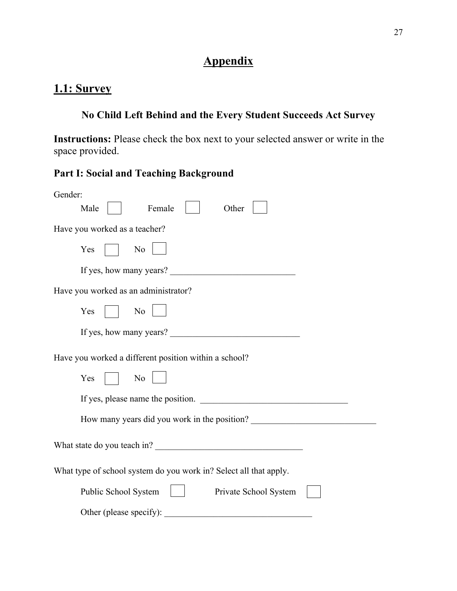# **Appendix**

# **1.1: Survey**

# **No Child Left Behind and the Every Student Succeeds Act Survey**

**Instructions:** Please check the box next to your selected answer or write in the space provided.

# **Part I: Social and Teaching Background**

| Gender:                                                                          |
|----------------------------------------------------------------------------------|
| Female<br>Other<br>Male                                                          |
| Have you worked as a teacher?                                                    |
| Yes<br>N <sub>o</sub>                                                            |
| If yes, how many years?                                                          |
| Have you worked as an administrator?                                             |
| Yes<br>No                                                                        |
| If yes, how many years?                                                          |
| Have you worked a different position within a school?                            |
| Yes<br>No                                                                        |
| If yes, please name the position.                                                |
| How many years did you work in the position? ___________________________________ |
| What state do you teach in?                                                      |
| What type of school system do you work in? Select all that apply.                |
| Public School System<br>Private School System                                    |
| Other (please specify):                                                          |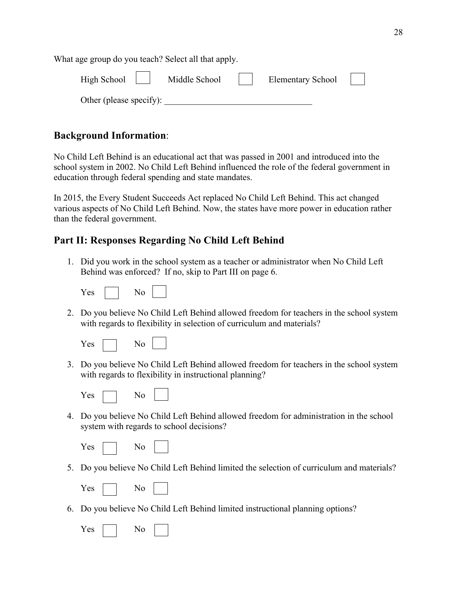What age group do you teach? Select all that apply. High School | | Middle School | | Elementary School Other (please specify):

## **Background Information**:

No Child Left Behind is an educational act that was passed in 2001 and introduced into the school system in 2002. No Child Left Behind influenced the role of the federal government in education through federal spending and state mandates.

In 2015, the Every Student Succeeds Act replaced No Child Left Behind. This act changed various aspects of No Child Left Behind. Now, the states have more power in education rather than the federal government.

## **Part II: Responses Regarding No Child Left Behind**

1. Did you work in the school system as a teacher or administrator when No Child Left Behind was enforced? If no, skip to Part III on page 6.

| ╲<br>∽ |  | N٥ |
|--------|--|----|
|--------|--|----|

2. Do you believe No Child Left Behind allowed freedom for teachers in the school system with regards to flexibility in selection of curriculum and materials?

| - - |  |
|-----|--|
|-----|--|

3. Do you believe No Child Left Behind allowed freedom for teachers in the school system with regards to flexibility in instructional planning?

| - 2 |  |  |  |
|-----|--|--|--|
|-----|--|--|--|

4. Do you believe No Child Left Behind allowed freedom for administration in the school system with regards to school decisions?

| ╲,<br>es |  | Nο |
|----------|--|----|
|----------|--|----|

5. Do you believe No Child Left Behind limited the selection of curriculum and materials?

- $No$
- 6. Do you believe No Child Left Behind limited instructional planning options?

| ∍⊂<br>- - |  |  |  |
|-----------|--|--|--|
|-----------|--|--|--|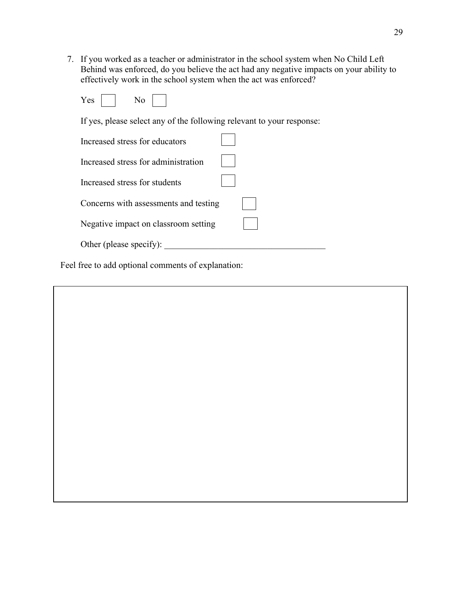7. If you worked as a teacher or administrator in the school system when No Child Left Behind was enforced, do you believe the act had any negative impacts on your ability to effectively work in the school system when the act was enforced?

| ex |  | ง∩ |  |
|----|--|----|--|
|----|--|----|--|

If yes, please select any of the following relevant to your response:

| Increased stress for educators        |  |
|---------------------------------------|--|
| Increased stress for administration   |  |
| Increased stress for students         |  |
| Concerns with assessments and testing |  |
| Negative impact on classroom setting  |  |
| Other (please specify):               |  |

Feel free to add optional comments of explanation:

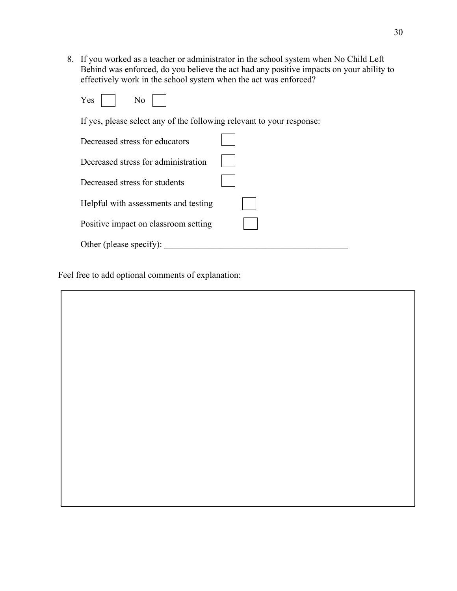8. If you worked as a teacher or administrator in the school system when No Child Left Behind was enforced, do you believe the act had any positive impacts on your ability to effectively work in the school system when the act was enforced?

| $\sim$<br>es |  | ง∩ |  |
|--------------|--|----|--|
|--------------|--|----|--|

If yes, please select any of the following relevant to your response:

| Decreased stress for educators       |  |
|--------------------------------------|--|
| Decreased stress for administration  |  |
| Decreased stress for students        |  |
| Helpful with assessments and testing |  |
| Positive impact on classroom setting |  |
| Other (please specify):              |  |

Feel free to add optional comments of explanation:

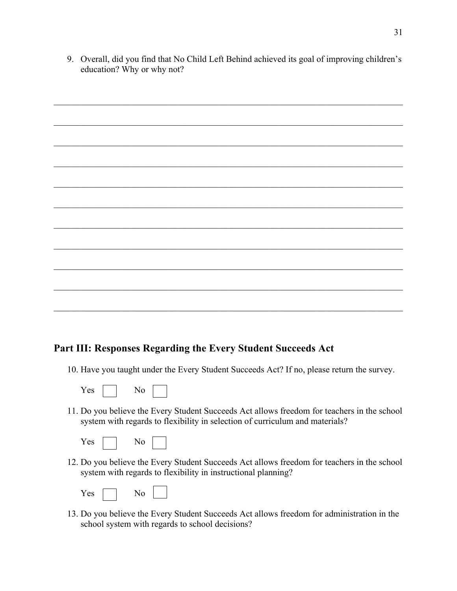9. Overall, did you find that No Child Left Behind achieved its goal of improving children's education? Why or why not?

## **Part III: Responses Regarding the Every Student Succeeds Act**

- 10. Have you taught under the Every Student Succeeds Act? If no, please return the survey.
	- Yes No
- 11. Do you believe the Every Student Succeeds Act allows freedom for teachers in the school system with regards to flexibility in selection of curriculum and materials?

| v.<br>es |  |
|----------|--|
|----------|--|

12. Do you believe the Every Student Succeeds Act allows freedom for teachers in the school system with regards to flexibility in instructional planning?

| РS |  |
|----|--|
|----|--|

 $\overline{\phantom{0}}$ 

13. Do you believe the Every Student Succeeds Act allows freedom for administration in the school system with regards to school decisions?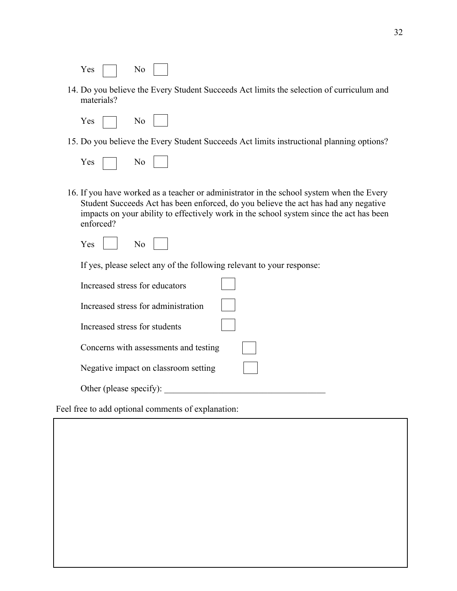| эç<br>- - |  | vo<br>- |  |
|-----------|--|---------|--|
|-----------|--|---------|--|

- 14. Do you believe the Every Student Succeeds Act limits the selection of curriculum and materials?
	- Yes No
- 15. Do you believe the Every Student Succeeds Act limits instructional planning options?

| -<br>∼<br>— |  | - |  |  |
|-------------|--|---|--|--|
|-------------|--|---|--|--|

- 16. If you have worked as a teacher or administrator in the school system when the Every Student Succeeds Act has been enforced, do you believe the act has had any negative impacts on your ability to effectively work in the school system since the act has been enforced?
	- $Yes \mid \mid No$

If yes, please select any of the following relevant to your response:

| Increased stress for educators        |  |
|---------------------------------------|--|
| Increased stress for administration   |  |
| Increased stress for students         |  |
| Concerns with assessments and testing |  |
| Negative impact on classroom setting  |  |
| Other (please specify):               |  |

Feel free to add optional comments of explanation: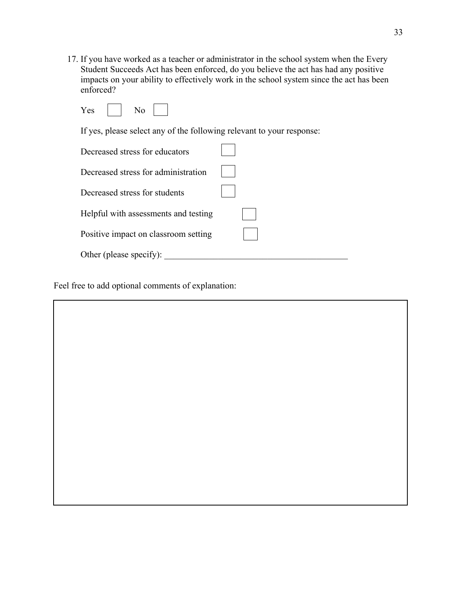17. If you have worked as a teacher or administrator in the school system when the Every Student Succeeds Act has been enforced, do you believe the act has had any positive impacts on your ability to effectively work in the school system since the act has been enforced?

| es | - |  |
|----|---|--|
|----|---|--|

If yes, please select any of the following relevant to your response:

| Decreased stress for educators       |  |
|--------------------------------------|--|
| Decreased stress for administration  |  |
| Decreased stress for students        |  |
| Helpful with assessments and testing |  |
| Positive impact on classroom setting |  |
| Other (please specify):              |  |

Feel free to add optional comments of explanation: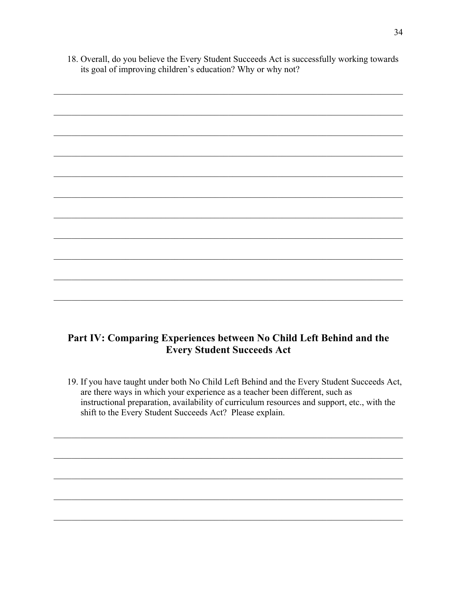18. Overall, do you believe the Every Student Succeeds Act is successfully working towards its goal of improving children's education? Why or why not?

# Part IV: Comparing Experiences between No Child Left Behind and the **Every Student Succeeds Act**

19. If you have taught under both No Child Left Behind and the Every Student Succeeds Act, are there ways in which your experience as a teacher been different, such as instructional preparation, availability of curriculum resources and support, etc., with the shift to the Every Student Succeeds Act? Please explain.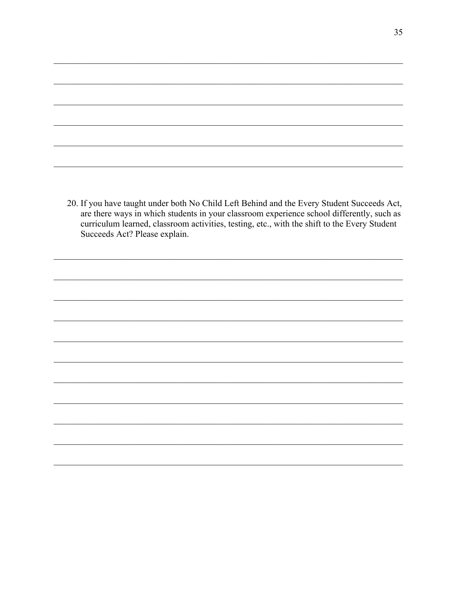20. If you have taught under both No Child Left Behind and the Every Student Succeeds Act, are there ways in which students in your classroom experience school differently, such as curriculum learned, classroom activities, testing, etc., with the shift to the Every Student Succeeds Act? Please explain.